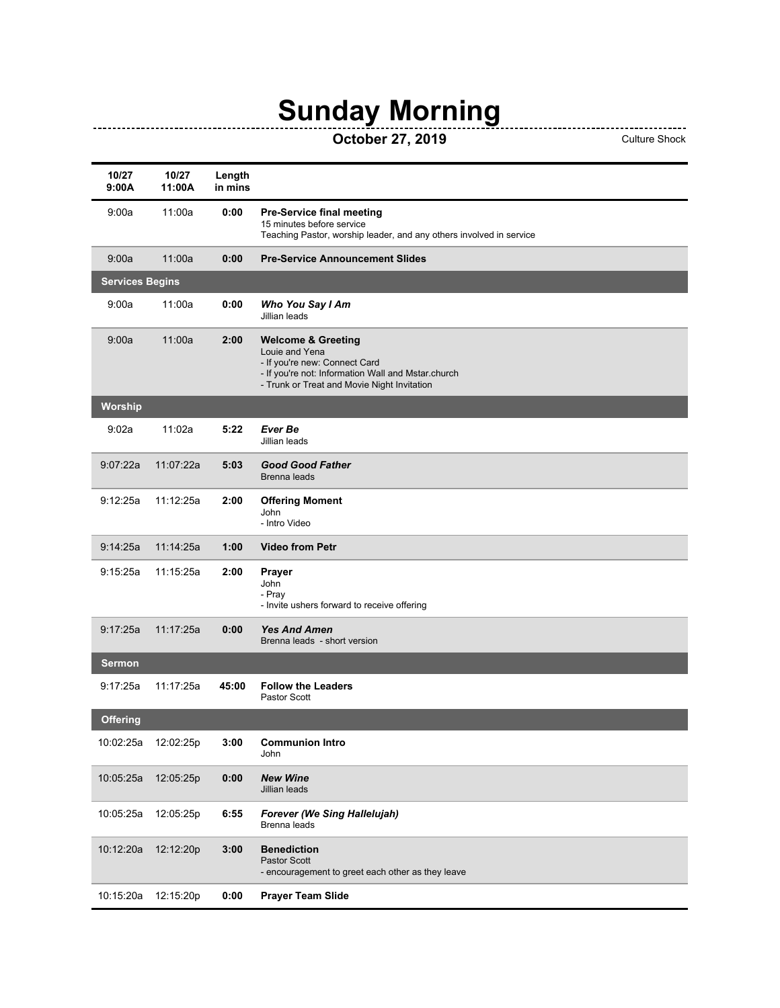## **Sunday Morning**

## **OCTOBER 27, 2019**<br>Culture Shock Culture Shock

| 10/27<br>9:00A         | 10/27<br>11:00A | Length<br>in mins |                                                                                                                                                                                       |
|------------------------|-----------------|-------------------|---------------------------------------------------------------------------------------------------------------------------------------------------------------------------------------|
| 9:00a                  | 11:00a          | 0:00              | <b>Pre-Service final meeting</b><br>15 minutes before service<br>Teaching Pastor, worship leader, and any others involved in service                                                  |
| 9:00a                  | 11:00a          | 0:00              | <b>Pre-Service Announcement Slides</b>                                                                                                                                                |
| <b>Services Begins</b> |                 |                   |                                                                                                                                                                                       |
| 9:00a                  | 11:00a          | 0:00              | Who You Say I Am<br>Jillian leads                                                                                                                                                     |
| 9:00a                  | 11:00a          | 2:00              | <b>Welcome &amp; Greeting</b><br>Louie and Yena<br>- If you're new: Connect Card<br>- If you're not: Information Wall and Mstar.church<br>- Trunk or Treat and Movie Night Invitation |
| Worship                |                 |                   |                                                                                                                                                                                       |
| 9:02a                  | 11:02a          | 5:22              | Ever Be<br>Jillian leads                                                                                                                                                              |
| 9:07:22a               | 11:07:22a       | 5:03              | <b>Good Good Father</b><br>Brenna leads                                                                                                                                               |
| 9:12:25a               | 11:12:25a       | 2:00              | <b>Offering Moment</b><br>John<br>- Intro Video                                                                                                                                       |
| 9:14:25a               | 11:14:25a       | 1:00              | <b>Video from Petr</b>                                                                                                                                                                |
| 9:15:25a               | 11:15:25a       | 2:00              | Prayer<br>John<br>- Pray<br>- Invite ushers forward to receive offering                                                                                                               |
| 9:17:25a               | 11:17:25a       | 0:00              | <b>Yes And Amen</b><br>Brenna leads - short version                                                                                                                                   |
| Sermon                 |                 |                   |                                                                                                                                                                                       |
| 9:17:25a               | 11:17:25a       | 45:00             | <b>Follow the Leaders</b><br>Pastor Scott                                                                                                                                             |
| Offering               |                 |                   |                                                                                                                                                                                       |
| 10:02:25a              | 12:02:25p       | 3:00              | <b>Communion Intro</b><br>John                                                                                                                                                        |
| 10:05:25a              | 12:05:25p       | 0:00              | <b>New Wine</b><br>Jillian leads                                                                                                                                                      |
| 10:05:25a              | 12:05:25p       | 6:55              | Forever (We Sing Hallelujah)<br>Brenna leads                                                                                                                                          |
| 10:12:20a              | 12:12:20p       | 3:00              | <b>Benediction</b><br>Pastor Scott<br>- encouragement to greet each other as they leave                                                                                               |
| 10:15:20a              | 12:15:20p       | 0:00              | <b>Prayer Team Slide</b>                                                                                                                                                              |